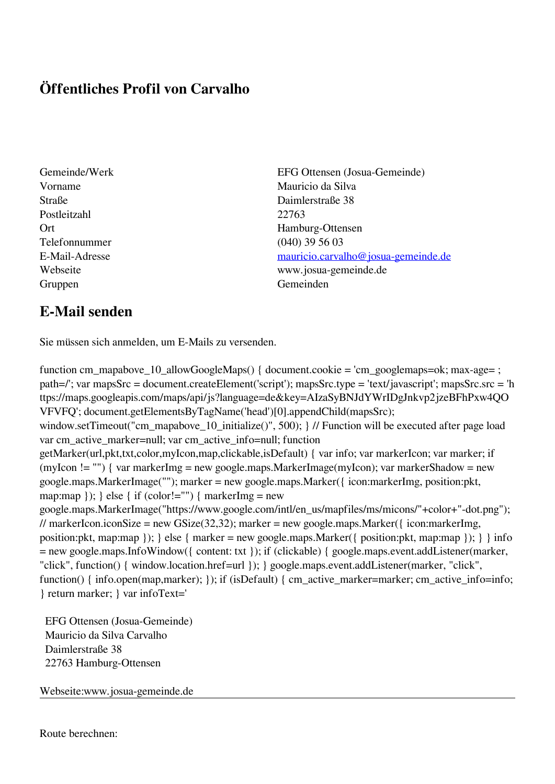## **Öffentliches Profil von Carvalho**

- Postleitzahl 22763 Telefonnummer (040) 39 56 03 Gruppen Gemeinden Gemeinden Gemeinden Gemeinden Gemeinden Gemeinden Gemeinden Gemeinden Gemeinden Gemeinden G
- Gemeinde/Werk EFG Ottensen (Josua-Gemeinde) Vorname Mauricio da Silva Straße Daimlerstraße 38 Ort Hamburg-Ottensen E-Mail-Adresse [mauricio.carvalho@josua-gemeinde.de](mailto:mauricio.carvalho@josua-gemeinde.de) Webseite www.josua-gemeinde.de

## **E-Mail senden**

Sie müssen sich anmelden, um E-Mails zu versenden.

function cm\_mapabove\_10\_allowGoogleMaps() { document.cookie = 'cm\_googlemaps=ok; max-age= ; path=/'; var mapsSrc = document.createElement('script'); mapsSrc.type = 'text/javascript'; mapsSrc.src = 'h ttps://maps.googleapis.com/maps/api/js?language=de&key=AIzaSyBNJdYWrIDgJnkvp2jzeBFhPxw4QO VFVFQ'; document.getElementsByTagName('head')[0].appendChild(mapsSrc); window.setTimeout("cm\_mapabove\_10\_initialize()", 500); } // Function will be executed after page load var cm\_active\_marker=null; var cm\_active\_info=null; function getMarker(url,pkt,txt,color,myIcon,map,clickable,isDefault) { var info; var markerIcon; var marker; if (myIcon != "") { var markerImg = new google.maps.MarkerImage(myIcon); var markerShadow = new google.maps.MarkerImage(""); marker = new google.maps.Marker({ icon:markerImg, position:pkt, map:map  $\}$ ;  $\}$  else  $\{$  if (color!="")  $\{$  markerImg = new google.maps.MarkerImage("https://www.google.com/intl/en\_us/mapfiles/ms/micons/"+color+"-dot.png"); // markerIcon.iconSize = new GSize(32,32); marker = new google.maps.Marker({ $\epsilon$  icon:markerImg, position:pkt, map:map  $\}$ ;  $\}$  else  $\{$  marker = new google.maps.Marker $(\{$  position:pkt, map:map  $\})$ ;  $\}$  info = new google.maps.InfoWindow({ content: txt }); if (clickable) { google.maps.event.addListener(marker, "click", function() { window.location.href=url }); } google.maps.event.addListener(marker, "click", function() { info.open(map,marker); }); if (isDefault) { cm\_active\_marker=marker; cm\_active\_info=info; } return marker; } var infoText='

 EFG Ottensen (Josua-Gemeinde) Mauricio da Silva Carvalho Daimlerstraße 38 22763 Hamburg-Ottensen

Webseite:www.josua-gemeinde.de

Route berechnen: